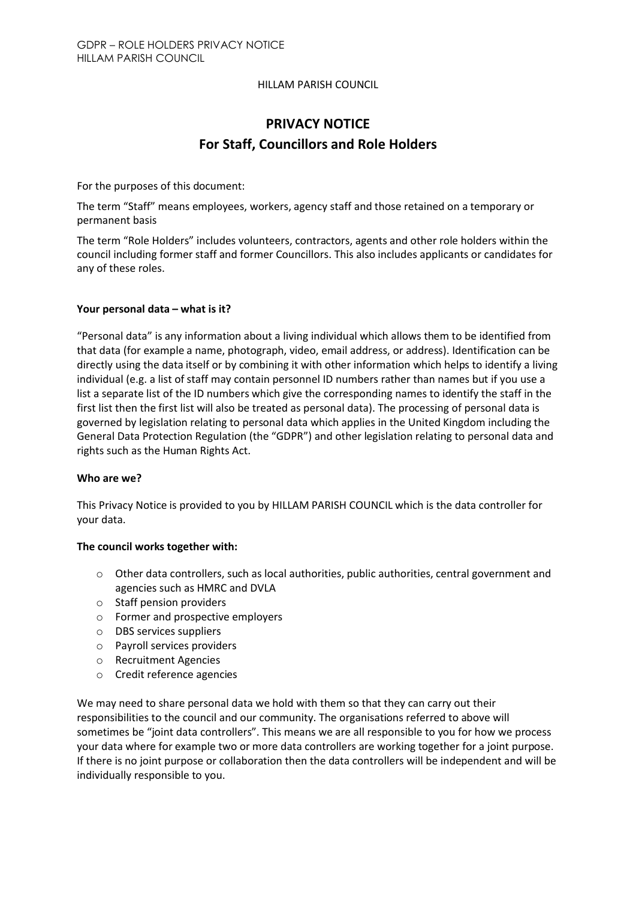### HILLAM PARISH COUNCIL

# PRIVACY NOTICE For Staff, Councillors and Role Holders

For the purposes of this document:

The term "Staff" means employees, workers, agency staff and those retained on a temporary or permanent basis

The term "Role Holders" includes volunteers, contractors, agents and other role holders within the council including former staff and former Councillors. This also includes applicants or candidates for any of these roles.

### Your personal data – what is it?

"Personal data" is any information about a living individual which allows them to be identified from that data (for example a name, photograph, video, email address, or address). Identification can be directly using the data itself or by combining it with other information which helps to identify a living individual (e.g. a list of staff may contain personnel ID numbers rather than names but if you use a list a separate list of the ID numbers which give the corresponding names to identify the staff in the first list then the first list will also be treated as personal data). The processing of personal data is governed by legislation relating to personal data which applies in the United Kingdom including the General Data Protection Regulation (the "GDPR") and other legislation relating to personal data and rights such as the Human Rights Act.

### Who are we?

This Privacy Notice is provided to you by HILLAM PARISH COUNCIL which is the data controller for your data.

### The council works together with:

- o Other data controllers, such as local authorities, public authorities, central government and agencies such as HMRC and DVLA
- o Staff pension providers
- o Former and prospective employers
- o DBS services suppliers
- o Payroll services providers
- o Recruitment Agencies
- o Credit reference agencies

We may need to share personal data we hold with them so that they can carry out their responsibilities to the council and our community. The organisations referred to above will sometimes be "joint data controllers". This means we are all responsible to you for how we process your data where for example two or more data controllers are working together for a joint purpose. If there is no joint purpose or collaboration then the data controllers will be independent and will be individually responsible to you.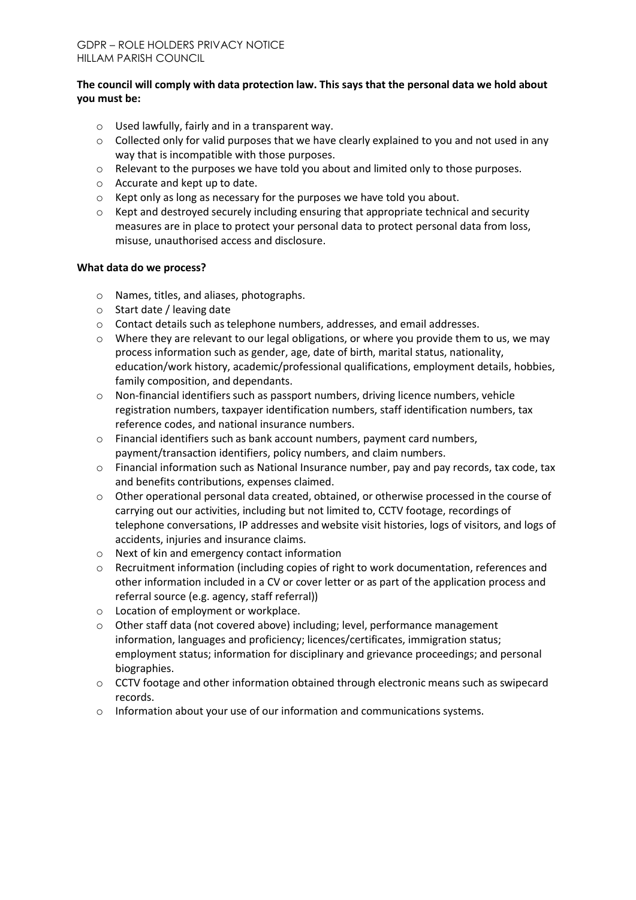# The council will comply with data protection law. This says that the personal data we hold about you must be:

- o Used lawfully, fairly and in a transparent way.
- $\circ$  Collected only for valid purposes that we have clearly explained to you and not used in any way that is incompatible with those purposes.
- o Relevant to the purposes we have told you about and limited only to those purposes.
- o Accurate and kept up to date.
- o Kept only as long as necessary for the purposes we have told you about.
- $\circ$  Kept and destroyed securely including ensuring that appropriate technical and security measures are in place to protect your personal data to protect personal data from loss, misuse, unauthorised access and disclosure.

### What data do we process?

- o Names, titles, and aliases, photographs.
- o Start date / leaving date
- o Contact details such as telephone numbers, addresses, and email addresses.
- $\circ$  Where they are relevant to our legal obligations, or where you provide them to us, we may process information such as gender, age, date of birth, marital status, nationality, education/work history, academic/professional qualifications, employment details, hobbies, family composition, and dependants.
- $\circ$  Non-financial identifiers such as passport numbers, driving licence numbers, vehicle registration numbers, taxpayer identification numbers, staff identification numbers, tax reference codes, and national insurance numbers.
- o Financial identifiers such as bank account numbers, payment card numbers, payment/transaction identifiers, policy numbers, and claim numbers.
- o Financial information such as National Insurance number, pay and pay records, tax code, tax and benefits contributions, expenses claimed.
- o Other operational personal data created, obtained, or otherwise processed in the course of carrying out our activities, including but not limited to, CCTV footage, recordings of telephone conversations, IP addresses and website visit histories, logs of visitors, and logs of accidents, injuries and insurance claims.
- o Next of kin and emergency contact information
- o Recruitment information (including copies of right to work documentation, references and other information included in a CV or cover letter or as part of the application process and referral source (e.g. agency, staff referral))
- o Location of employment or workplace.
- o Other staff data (not covered above) including; level, performance management information, languages and proficiency; licences/certificates, immigration status; employment status; information for disciplinary and grievance proceedings; and personal biographies.
- o CCTV footage and other information obtained through electronic means such as swipecard records.
- $\circ$  Information about your use of our information and communications systems.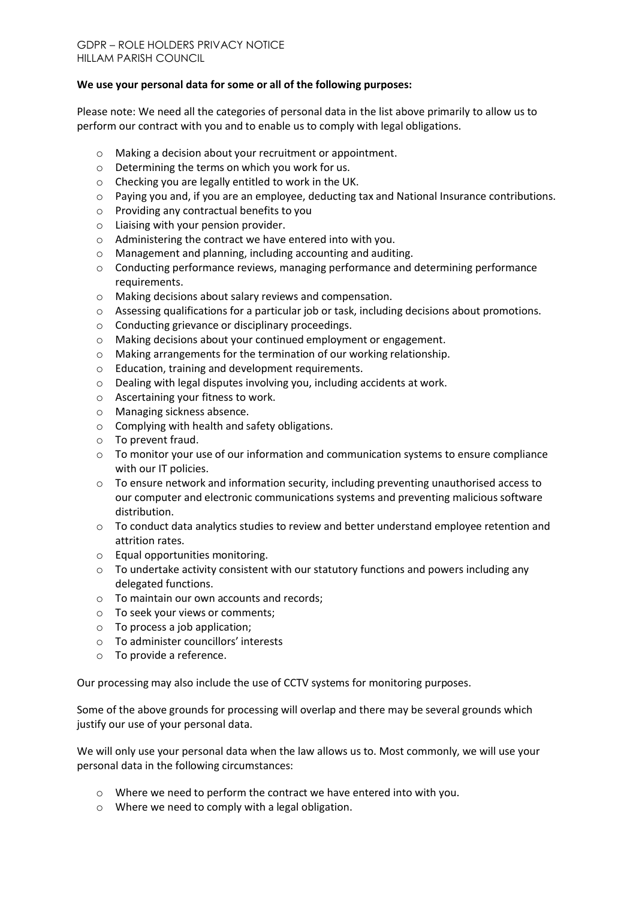### We use your personal data for some or all of the following purposes:

Please note: We need all the categories of personal data in the list above primarily to allow us to perform our contract with you and to enable us to comply with legal obligations.

- o Making a decision about your recruitment or appointment.
- o Determining the terms on which you work for us.
- o Checking you are legally entitled to work in the UK.
- $\circ$  Paying you and, if you are an employee, deducting tax and National Insurance contributions.
- o Providing any contractual benefits to you
- o Liaising with your pension provider.
- o Administering the contract we have entered into with you.
- o Management and planning, including accounting and auditing.
- $\circ$  Conducting performance reviews, managing performance and determining performance requirements.
- o Making decisions about salary reviews and compensation.
- o Assessing qualifications for a particular job or task, including decisions about promotions.
- o Conducting grievance or disciplinary proceedings.
- o Making decisions about your continued employment or engagement.
- o Making arrangements for the termination of our working relationship.
- o Education, training and development requirements.
- o Dealing with legal disputes involving you, including accidents at work.
- o Ascertaining your fitness to work.
- o Managing sickness absence.
- o Complying with health and safety obligations.
- o To prevent fraud.
- o To monitor your use of our information and communication systems to ensure compliance with our IT policies.
- o To ensure network and information security, including preventing unauthorised access to our computer and electronic communications systems and preventing malicious software distribution.
- $\circ$  To conduct data analytics studies to review and better understand employee retention and attrition rates.
- o Equal opportunities monitoring.
- $\circ$  To undertake activity consistent with our statutory functions and powers including any delegated functions.
- o To maintain our own accounts and records;
- o To seek your views or comments;
- o To process a job application;
- o To administer councillors' interests
- o To provide a reference.

Our processing may also include the use of CCTV systems for monitoring purposes.

Some of the above grounds for processing will overlap and there may be several grounds which justify our use of your personal data.

We will only use your personal data when the law allows us to. Most commonly, we will use your personal data in the following circumstances:

- o Where we need to perform the contract we have entered into with you.
- o Where we need to comply with a legal obligation.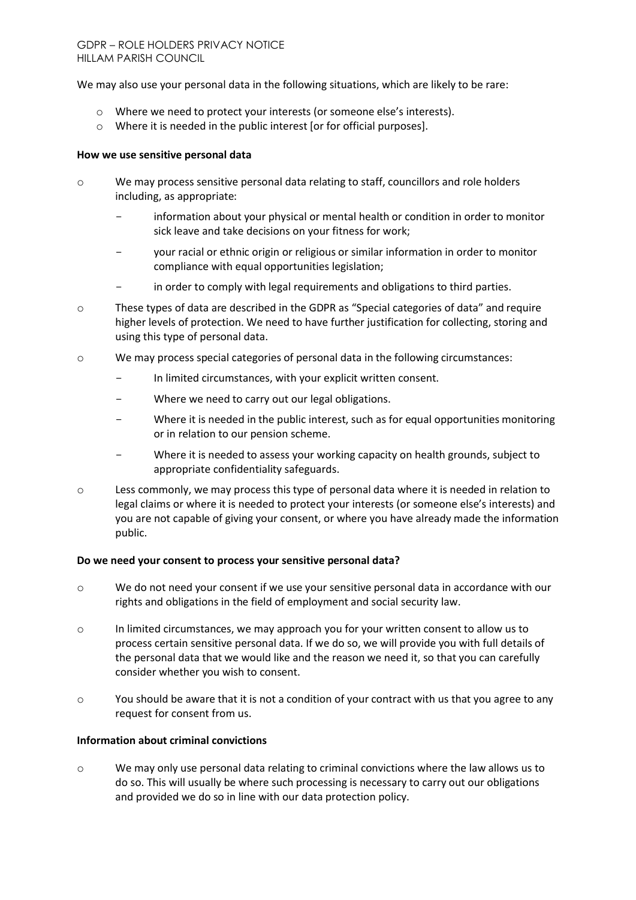We may also use your personal data in the following situations, which are likely to be rare:

- o Where we need to protect your interests (or someone else's interests).
- o Where it is needed in the public interest [or for official purposes].

### How we use sensitive personal data

- o We may process sensitive personal data relating to staff, councillors and role holders including, as appropriate:
	- information about your physical or mental health or condition in order to monitor sick leave and take decisions on your fitness for work;
	- your racial or ethnic origin or religious or similar information in order to monitor compliance with equal opportunities legislation;
	- in order to comply with legal requirements and obligations to third parties.
- o These types of data are described in the GDPR as "Special categories of data" and require higher levels of protection. We need to have further justification for collecting, storing and using this type of personal data.
- $\circ$  We may process special categories of personal data in the following circumstances:
	- In limited circumstances, with your explicit written consent.
	- Where we need to carry out our legal obligations.
	- Where it is needed in the public interest, such as for equal opportunities monitoring or in relation to our pension scheme.
	- Where it is needed to assess your working capacity on health grounds, subject to appropriate confidentiality safeguards.
- o Less commonly, we may process this type of personal data where it is needed in relation to legal claims or where it is needed to protect your interests (or someone else's interests) and you are not capable of giving your consent, or where you have already made the information public.

### Do we need your consent to process your sensitive personal data?

- o We do not need your consent if we use your sensitive personal data in accordance with our rights and obligations in the field of employment and social security law.
- o In limited circumstances, we may approach you for your written consent to allow us to process certain sensitive personal data. If we do so, we will provide you with full details of the personal data that we would like and the reason we need it, so that you can carefully consider whether you wish to consent.
- $\circ$  You should be aware that it is not a condition of your contract with us that you agree to any request for consent from us.

### Information about criminal convictions

o We may only use personal data relating to criminal convictions where the law allows us to do so. This will usually be where such processing is necessary to carry out our obligations and provided we do so in line with our data protection policy.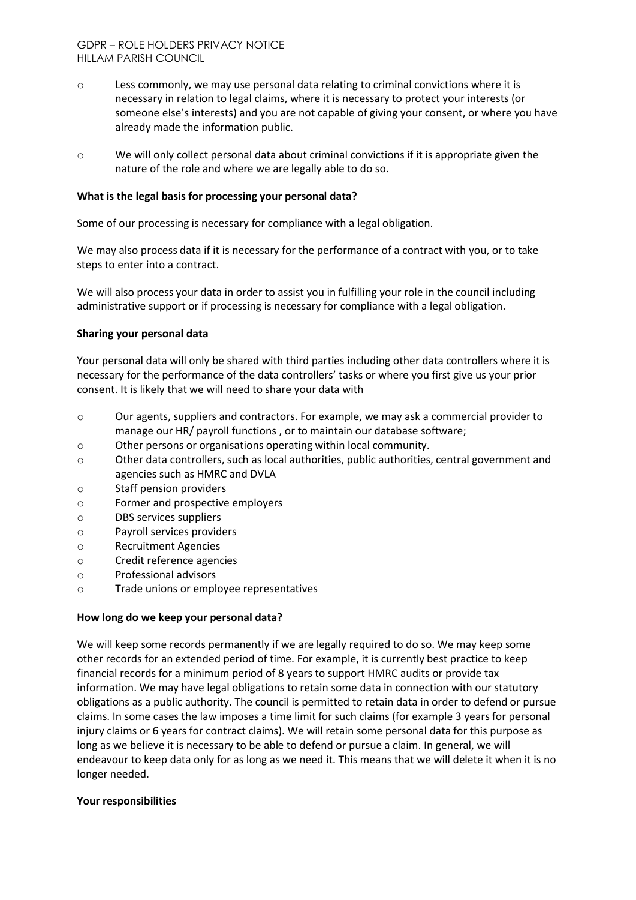- o Less commonly, we may use personal data relating to criminal convictions where it is necessary in relation to legal claims, where it is necessary to protect your interests (or someone else's interests) and you are not capable of giving your consent, or where you have already made the information public.
- o We will only collect personal data about criminal convictions if it is appropriate given the nature of the role and where we are legally able to do so.

### What is the legal basis for processing your personal data?

Some of our processing is necessary for compliance with a legal obligation.

We may also process data if it is necessary for the performance of a contract with you, or to take steps to enter into a contract.

We will also process your data in order to assist you in fulfilling your role in the council including administrative support or if processing is necessary for compliance with a legal obligation.

### Sharing your personal data

Your personal data will only be shared with third parties including other data controllers where it is necessary for the performance of the data controllers' tasks or where you first give us your prior consent. It is likely that we will need to share your data with

- o Our agents, suppliers and contractors. For example, we may ask a commercial provider to manage our HR/ payroll functions , or to maintain our database software;
- o Other persons or organisations operating within local community.
- o Other data controllers, such as local authorities, public authorities, central government and agencies such as HMRC and DVLA
- o Staff pension providers
- o Former and prospective employers
- o DBS services suppliers
- o Payroll services providers
- o Recruitment Agencies
- o Credit reference agencies
- o Professional advisors
- o Trade unions or employee representatives

#### How long do we keep your personal data?

We will keep some records permanently if we are legally required to do so. We may keep some other records for an extended period of time. For example, it is currently best practice to keep financial records for a minimum period of 8 years to support HMRC audits or provide tax information. We may have legal obligations to retain some data in connection with our statutory obligations as a public authority. The council is permitted to retain data in order to defend or pursue claims. In some cases the law imposes a time limit for such claims (for example 3 years for personal injury claims or 6 years for contract claims). We will retain some personal data for this purpose as long as we believe it is necessary to be able to defend or pursue a claim. In general, we will endeavour to keep data only for as long as we need it. This means that we will delete it when it is no longer needed.

#### Your responsibilities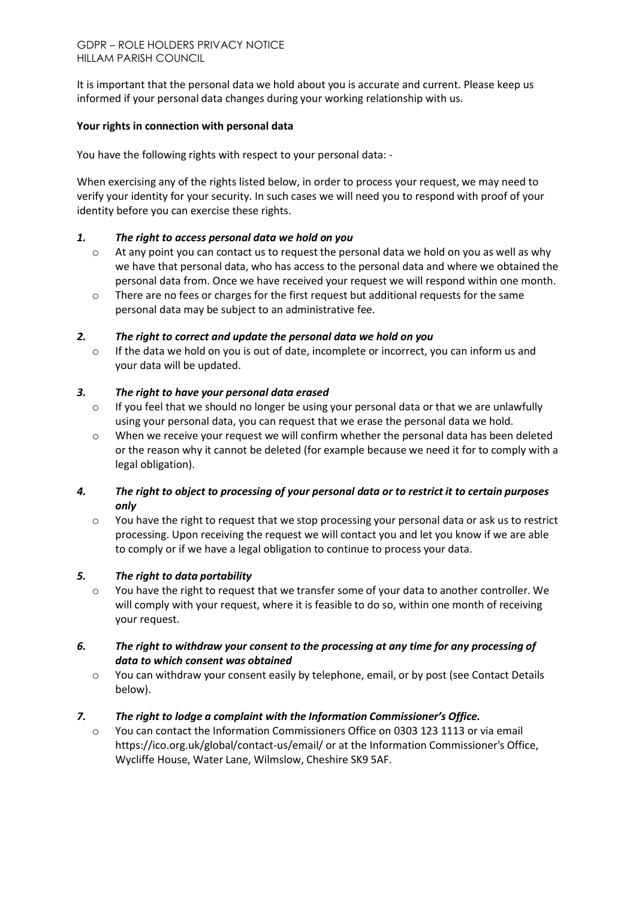It is important that the personal data we hold about you is accurate and current. Please keep us informed if your personal data changes during your working relationship with us.

# Your rights in connection with personal data

You have the following rights with respect to your personal data: -

When exercising any of the rights listed below, in order to process your request, we may need to verify your identity for your security. In such cases we will need you to respond with proof of your identity before you can exercise these rights.

# *1. The right to access personal data we hold on you*

- $\circ$  At any point you can contact us to request the personal data we hold on you as well as why we have that personal data, who has access to the personal data and where we obtained the personal data from. Once we have received your request we will respond within one month.
- o There are no fees or charges for the first request but additional requests for the same personal data may be subject to an administrative fee.

# *2. The right to correct and update the personal data we hold on you*

o If the data we hold on you is out of date, incomplete or incorrect, you can inform us and your data will be updated.

# *3. The right to have your personal data erased*

- $\circ$  If you feel that we should no longer be using your personal data or that we are unlawfully using your personal data, you can request that we erase the personal data we hold.
- o When we receive your request we will confirm whether the personal data has been deleted or the reason why it cannot be deleted (for example because we need it for to comply with a legal obligation).

# *4. The right to object to processing of your personal data or to restrict it to certain purposes only*

o You have the right to request that we stop processing your personal data or ask us to restrict processing. Upon receiving the request we will contact you and let you know if we are able to comply or if we have a legal obligation to continue to process your data.

# *5. The right to data portability*

o You have the right to request that we transfer some of your data to another controller. We will comply with your request, where it is feasible to do so, within one month of receiving your request.

# *6. The right to withdraw your consent to the processing at any time for any processing of data to which consent was obtained*

 $\circ$  You can withdraw your consent easily by telephone, email, or by post (see Contact Details below).

# *7. The right to lodge a complaint with the Information Commissioner's Office.*

o You can contact the Information Commissioners Office on 0303 123 1113 or via email https://ico.org.uk/global/contact-us/email/ or at the Information Commissioner's Office, Wycliffe House, Water Lane, Wilmslow, Cheshire SK9 5AF.